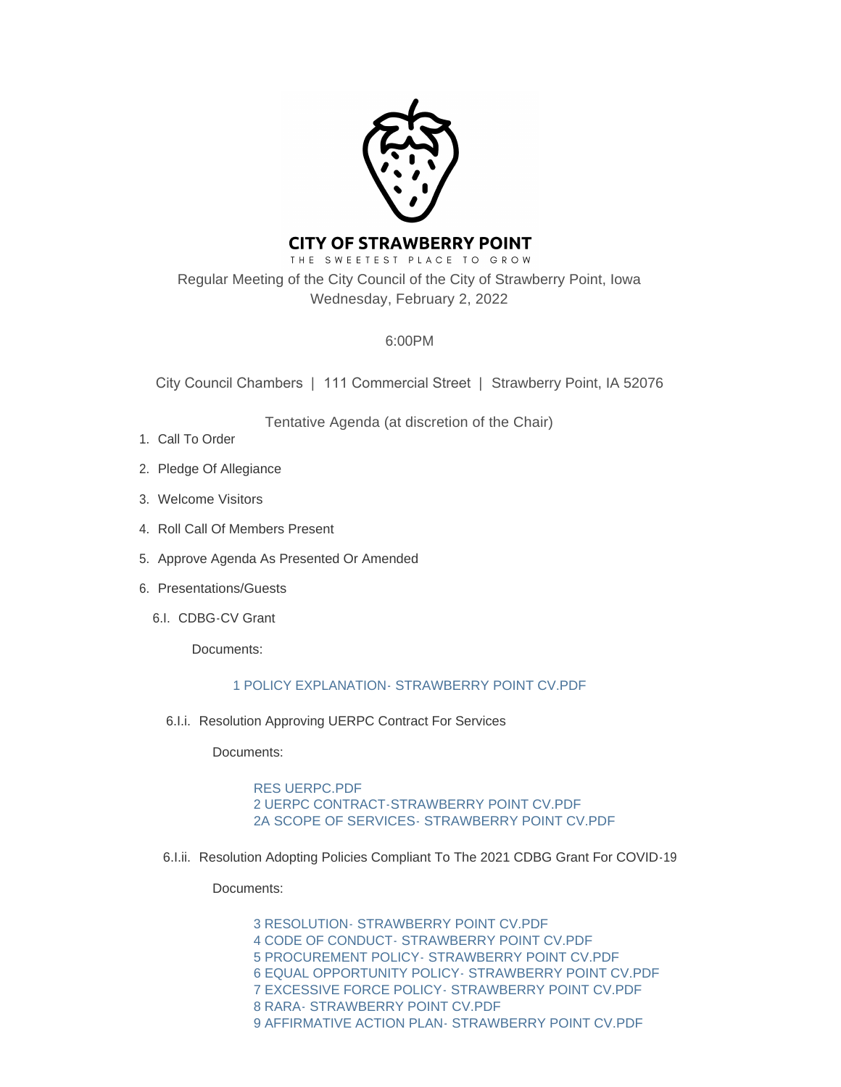

# **CITY OF STRAWBERRY POINT**

THE SWEETEST PLACE TO GROW Regular Meeting of the City Council of the City of Strawberry Point, Iowa Wednesday, February 2, 2022

## 6:00PM

City Council Chambers | 111 Commercial Street | Strawberry Point, IA 52076

Tentative Agenda (at discretion of the Chair)

- 1. Call To Order
- 2. Pledge Of Allegiance
- Welcome Visitors 3.
- 4. Roll Call Of Members Present
- 5. Approve Agenda As Presented Or Amended
- 6. Presentations/Guests
	- 6.I. CDBG-CV Grant

Documents:

## [1 POLICY EXPLANATION- STRAWBERRY POINT CV.PDF](http://www.strawberrypt.com/AgendaCenter/ViewFile/Item/525?fileID=482)

6.I.i. Resolution Approving UERPC Contract For Services

Documents:

[RES UERPC.PDF](http://www.strawberrypt.com/AgendaCenter/ViewFile/Item/531?fileID=465) [2 UERPC CONTRACT-STRAWBERRY POINT CV.PDF](http://www.strawberrypt.com/AgendaCenter/ViewFile/Item/531?fileID=466) [2A SCOPE OF SERVICES- STRAWBERRY POINT CV.PDF](http://www.strawberrypt.com/AgendaCenter/ViewFile/Item/531?fileID=467)

6.I.ii. Resolution Adopting Policies Compliant To The 2021 CDBG Grant For COVID-19

Documents:

[3 RESOLUTION- STRAWBERRY POINT CV.PDF](http://www.strawberrypt.com/AgendaCenter/ViewFile/Item/532?fileID=474) [4 CODE OF CONDUCT- STRAWBERRY POINT CV.PDF](http://www.strawberrypt.com/AgendaCenter/ViewFile/Item/532?fileID=475) [5 PROCUREMENT POLICY- STRAWBERRY POINT CV.PDF](http://www.strawberrypt.com/AgendaCenter/ViewFile/Item/532?fileID=468) [6 EQUAL OPPORTUNITY POLICY- STRAWBERRY POINT CV.PDF](http://www.strawberrypt.com/AgendaCenter/ViewFile/Item/532?fileID=469) [7 EXCESSIVE FORCE POLICY- STRAWBERRY POINT CV.PDF](http://www.strawberrypt.com/AgendaCenter/ViewFile/Item/532?fileID=470) [8 RARA- STRAWBERRY POINT CV.PDF](http://www.strawberrypt.com/AgendaCenter/ViewFile/Item/532?fileID=471) 9 AFFIRMATIVE ACTION PLAN- STRAWBERRY POINT CV PDF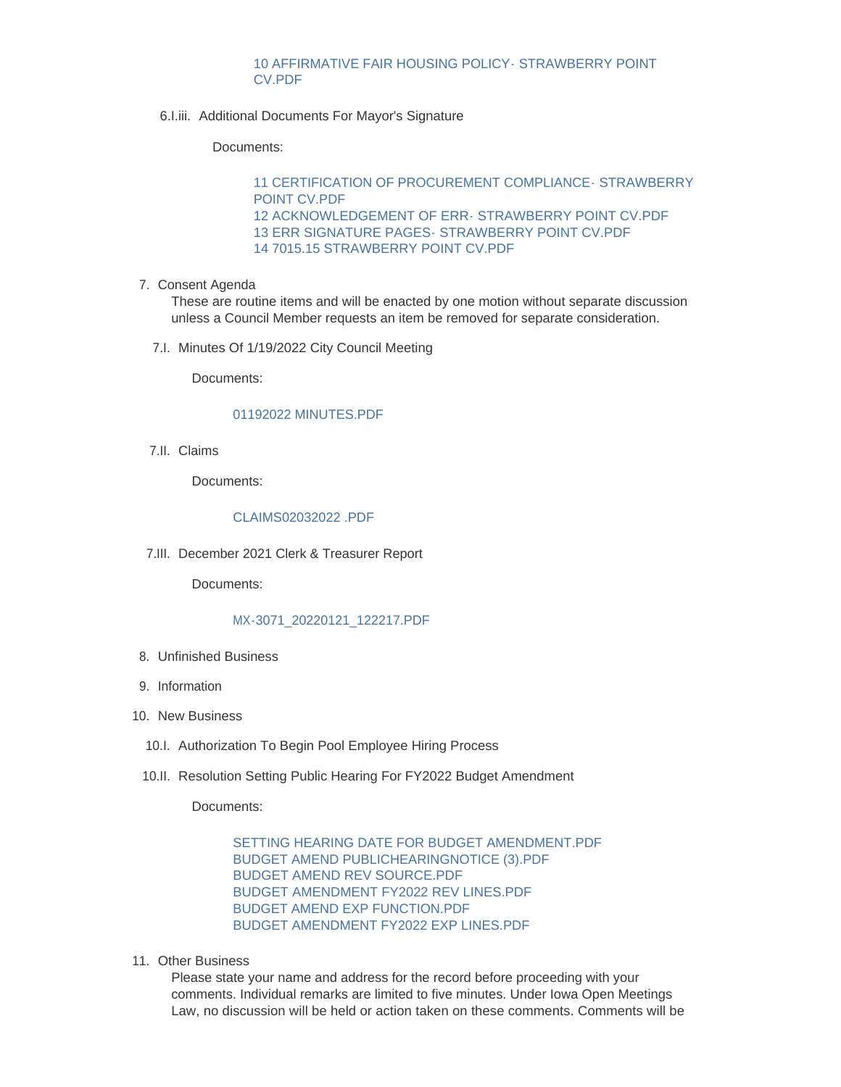## [10 AFFIRMATIVE FAIR HOUSING POLICY- STRAWBERRY POINT](http://www.strawberrypt.com/AgendaCenter/ViewFile/Item/532?fileID=473)  CV.PDF

6.I.iii. Additional Documents For Mayor's Signature

#### Documents:

[11 CERTIFICATION OF PROCUREMENT COMPLIANCE- STRAWBERRY](http://www.strawberrypt.com/AgendaCenter/ViewFile/Item/533?fileID=479)  POINT CV.PDF [12 ACKNOWLEDGEMENT OF ERR- STRAWBERRY POINT CV.PDF](http://www.strawberrypt.com/AgendaCenter/ViewFile/Item/533?fileID=476) [13 ERR SIGNATURE PAGES- STRAWBERRY POINT CV.PDF](http://www.strawberrypt.com/AgendaCenter/ViewFile/Item/533?fileID=477) [14 7015.15 STRAWBERRY POINT CV.PDF](http://www.strawberrypt.com/AgendaCenter/ViewFile/Item/533?fileID=478)

7. Consent Agenda

These are routine items and will be enacted by one motion without separate discussion unless a Council Member requests an item be removed for separate consideration.

7.I. Minutes Of 1/19/2022 City Council Meeting

Documents:

## [01192022 MINUTES.PDF](http://www.strawberrypt.com/AgendaCenter/ViewFile/Item/547?fileID=481)

7.II. Claims

Documents:

## [CLAIMS02032022 .PDF](http://www.strawberrypt.com/AgendaCenter/ViewFile/Item/546?fileID=483)

7.III. December 2021 Clerk & Treasurer Report

Documents:

## [MX-3071\\_20220121\\_122217.PDF](http://www.strawberrypt.com/AgendaCenter/ViewFile/Item/528?fileID=459)

- Unfinished Business 8.
- 9. Information
- 10. New Business
	- 10.I. Authorization To Begin Pool Employee Hiring Process
	- 10.II. Resolution Setting Public Hearing For FY2022 Budget Amendment

Documents:

[SETTING HEARING DATE FOR BUDGET AMENDMENT.PDF](http://www.strawberrypt.com/AgendaCenter/ViewFile/Item/529?fileID=480) [BUDGET AMEND PUBLICHEARINGNOTICE \(3\).PDF](http://www.strawberrypt.com/AgendaCenter/ViewFile/Item/529?fileID=460) [BUDGET AMEND REV SOURCE.PDF](http://www.strawberrypt.com/AgendaCenter/ViewFile/Item/529?fileID=461) [BUDGET AMENDMENT FY2022 REV LINES.PDF](http://www.strawberrypt.com/AgendaCenter/ViewFile/Item/529?fileID=462) [BUDGET AMEND EXP FUNCTION.PDF](http://www.strawberrypt.com/AgendaCenter/ViewFile/Item/529?fileID=463) [BUDGET AMENDMENT FY2022 EXP LINES.PDF](http://www.strawberrypt.com/AgendaCenter/ViewFile/Item/529?fileID=464)

11. Other Business

Please state your name and address for the record before proceeding with your comments. Individual remarks are limited to five minutes. Under Iowa Open Meetings Law, no discussion will be held or action taken on these comments. Comments will be